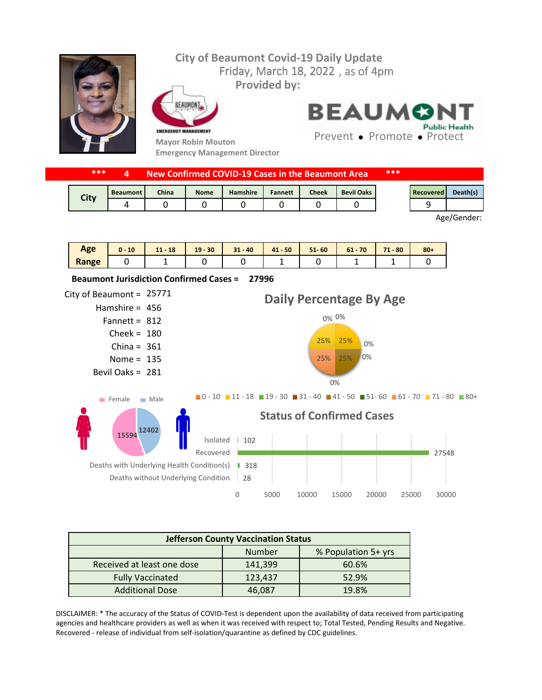## Friday, March 18, 2022, as of 4pm **City of Beaumont Covid-19 Daily Update Provided by:**



FAIIMON EMERGENCY MANAGEMENT

**Mayor Robin Mouton Emergency Management Director** **BEAUMON Public Health** 

Prevent • Promote • Protect

| ***         | New Confirmed COVID-19 Cases in the Beaumont Area |              |             |                 |                | ***          |                   |  |           |          |
|-------------|---------------------------------------------------|--------------|-------------|-----------------|----------------|--------------|-------------------|--|-----------|----------|
|             | <b>Beaumont</b>                                   | <b>China</b> | <b>Nome</b> | <b>Hamshire</b> | <b>Fannett</b> | <b>Cheek</b> | <b>Bevil Oaks</b> |  | Recovered | Death(s) |
| <b>City</b> | 4                                                 |              |             |                 |                |              |                   |  |           |          |

Age/Gender:

| Age   | 10<br>$0 -$ | 18<br>4.4<br>11. | $19 - 30$ | $31 - 40$ | $41 - 50$ | $51 - 60$ | $61 - 70$ | $71 - 80$ | $80 +$ |
|-------|-------------|------------------|-----------|-----------|-----------|-----------|-----------|-----------|--------|
| Range |             |                  |           |           |           |           |           |           |        |



| <b>Jefferson County Vaccination Status</b> |         |                     |  |  |  |  |
|--------------------------------------------|---------|---------------------|--|--|--|--|
|                                            | Number  | % Population 5+ yrs |  |  |  |  |
| Received at least one dose                 | 141,399 | 60.6%               |  |  |  |  |
| <b>Fully Vaccinated</b>                    | 123,437 | 52.9%               |  |  |  |  |
| <b>Additional Dose</b>                     | 46.087  | 19.8%               |  |  |  |  |

DISCLAIMER: \* The accuracy of the Status of COVID-Test is dependent upon the availability of data received from participating agencies and healthcare providers as well as when it was received with respect to; Total Tested, Pending Results and Negative. Recovered - release of individual from self-isolation/quarantine as defined by CDC guidelines.